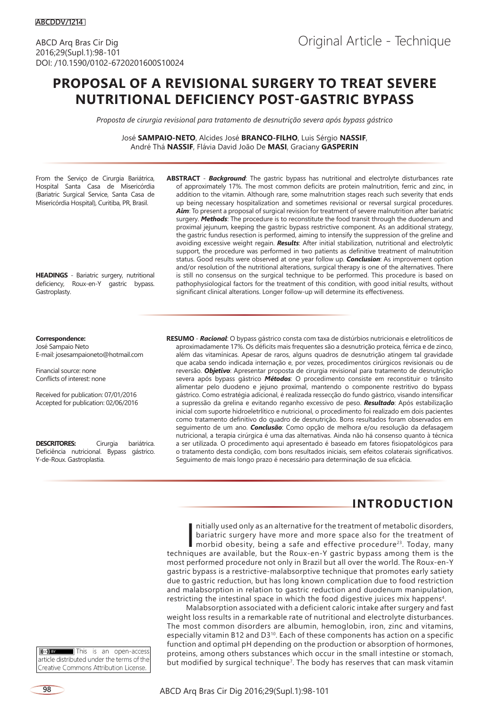2016;29(Supl.1):98-101 DOI: /10.1590/0102-6720201600S10024

# **PROPOSAL OF A REVISIONAL SURGERY TO TREAT SEVERE NUTRITIONAL DEFICIENCY POST-GASTRIC BYPASS**

*Proposta de cirurgia revisional para tratamento de desnutrição severa após bypass gástrico*

José **SAMPAIO-NETO**, Alcides José **BRANCO-FILHO**, Luis Sérgio **NASSIF**, André Thá **NASSIF**, Flávia David João De **MASI**, Graciany **GASPERIN**

From the Serviço de Cirurgia Bariátrica, Hospital Santa Casa de Misericórdia (Bariatric Surgical Service, Santa Casa de Misericórdia Hospital), Curitiba, PR, Brasil.

**HEADINGS** - Bariatric surgery, nutritional deficiency, Roux-en-Y gastric bypass. Gastroplasty.

**ABSTRACT** - *Background*: The gastric bypass has nutritional and electrolyte disturbances rate of approximately 17%. The most common deficits are protein malnutrition, ferric and zinc, in addition to the vitamin. Although rare, some malnutrition stages reach such severity that ends up being necessary hospitalization and sometimes revisional or reversal surgical procedures. Aim: To present a proposal of surgical revision for treatment of severe malnutrition after bariatric surgery. *Methods*: The procedure is to reconstitute the food transit through the duodenum and proximal jejunum, keeping the gastric bypass restrictive component. As an additional strategy, the gastric fundus resection is performed, aiming to intensify the suppression of the greline and avoiding excessive weight regain. *Results*: After initial stabilization, nutritional and electrolytic support, the procedure was performed in two patients as definitive treatment of malnutrition status. Good results were observed at one year follow up. *Conclusion*: As improvement option and/or resolution of the nutritional alterations, surgical therapy is one of the alternatives. There is still no consensus on the surgical technique to be performed. This procedure is based on pathophysiological factors for the treatment of this condition, with good initial results, without significant clinical alterations. Longer follow-up will determine its effectiveness.

#### **Correspondence:**

José Sampaio Neto E-mail: josesampaioneto@hotmail.com

Financial source: none Conflicts of interest: none

Received for publication: 07/01/2016 Accepted for publication: 02/06/2016

**DESCRITORES:** Cirurgia bariátrica. Deficiência nutricional. Bypass gástrico. Y-de-Roux. Gastroplastia.

**RESUMO** - *Racional*: O bypass gástrico consta com taxa de distúrbios nutricionais e eletrolíticos de aproximadamente 17%. Os déficits mais frequentes são a desnutrição proteica, férrica e de zinco, além das vitamínicas. Apesar de raros, alguns quadros de desnutrição atingem tal gravidade que acaba sendo indicada internação e, por vezes, procedimentos cirúrgicos revisionais ou de reversão. *Objetivo*: Apresentar proposta de cirurgia revisional para tratamento de desnutrição severa após bypass gástrico *Métodos*: O procedimento consiste em reconstituir o trânsito alimentar pelo duodeno e jejuno proximal, mantendo o componente restritivo do bypass gástrico. Como estratégia adicional, é realizada ressecção do fundo gástrico, visando intensificar a supressão da grelina e evitando reganho excessivo de peso. *Resultado*: Após estabilização inicial com suporte hidroeletrlítico e nutricional, o procedimento foi realizado em dois pacientes como tratamento definitivo do quadro de desnutrição. Bons resultados foram observados em seguimento de um ano. *Conclusão*: Como opção de melhora e/ou resolução da defasagem nutricional, a terapia cirúrgica é uma das alternativas. Ainda não há consenso quanto à técnica a ser utilizada. O procedimento aqui apresentado é baseado em fatores fisiopatológicos para o tratamento desta condição, com bons resultados iniciais, sem efeitos colaterais significativos. Seguimento de mais longo prazo é necessário para determinação de sua eficácia.

#### **INTRODUCTION**

Initially used only as an alternative for the treatment of metabolic disorders,<br>bariatric surgery have more and more space also for the treatment of<br>morbid obesity, being a safe and effective procedure<sup>23</sup>. Today, many<br>tec nitially used only as an alternative for the treatment of metabolic disorders, bariatric surgery have more and more space also for the treatment of morbid obesity, being a safe and effective procedure<sup>23</sup>. Today, many most performed procedure not only in Brazil but all over the world. The Roux-en-Y gastric bypass is a restrictive-malabsorptive technique that promotes early satiety due to gastric reduction, but has long known complication due to food restriction and malabsorption in relation to gastric reduction and duodenum manipulation, restricting the intestinal space in which the food digestive juices mix happens<sup>4</sup>.

Malabsorption associated with a deficient caloric intake after surgery and fast weight loss results in a remarkable rate of nutritional and electrolyte disturbances. The most common disorders are albumin, hemoglobin, iron, zinc and vitamins, especially vitamin B12 and  $D3^{10}$ . Each of these components has action on a specific function and optimal pH depending on the production or absorption of hormones, proteins, among others substances which occur in the small intestine or stomach, but modified by surgical technique<sup>7</sup>. The body has reserves that can mask vitamin

[cc] BY This is an open-access article distributed under the terms of the Creative Commons Attribution License.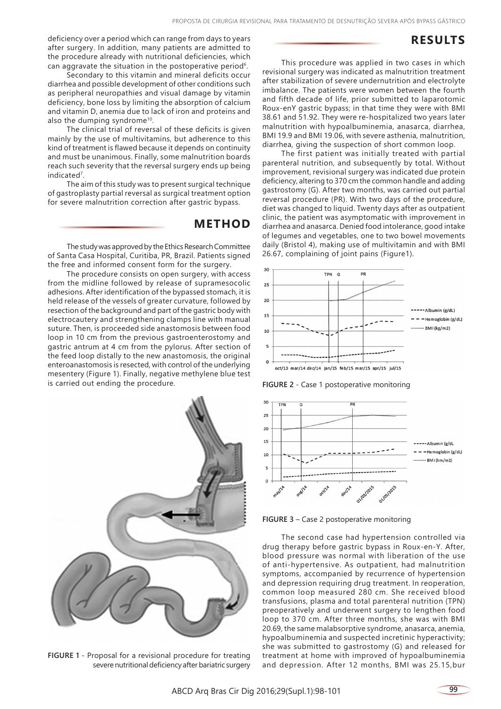## **RESULTS**

deficiency over a period which can range from days to years after surgery. In addition, many patients are admitted to the procedure already with nutritional deficiencies, which can aggravate the situation in the postoperative period<sup>6</sup>.

Secondary to this vitamin and mineral deficits occur diarrhea and possible development of other conditions such as peripheral neuropathies and visual damage by vitamin deficiency, bone loss by limiting the absorption of calcium and vitamin D, anemia due to lack of iron and proteins and also the dumping syndrome<sup>10</sup>.

The clinical trial of reversal of these deficits is given mainly by the use of multivitamins, but adherence to this kind of treatment is flawed because it depends on continuity and must be unanimous. Finally, some malnutrition boards reach such severity that the reversal surgery ends up being indicated<sup>7</sup>.

The aim of this study was to present surgical technique of gastroplasty partial reversal as surgical treatment option for severe malnutrition correction after gastric bypass.

### **METHOD**

The study was approved by the Ethics Research Committee of Santa Casa Hospital, Curitiba, PR, Brazil. Patients signed the free and informed consent form for the surgery.

The procedure consists on open surgery, with access from the midline followed by release of supramesocolic adhesions. After identification of the bypassed stomach, it is held release of the vessels of greater curvature, followed by resection of the background and part of the gastric body with electrocautery and strengthening clamps line with manual suture. Then, is proceeded side anastomosis between food loop in 10 cm from the previous gastroenterostomy and gastric antrum at 4 cm from the pylorus. After section of the feed loop distally to the new anastomosis, the original enteroanastomosis is resected, with control of the underlying mesentery (Figure 1). Finally, negative methylene blue test is carried out ending the procedure.



**FIGURE 1** - Proposal for a revisional procedure for treating severe nutritional deficiency after bariatric surgery

This procedure was applied in two cases in which revisional surgery was indicated as malnutrition treatment after stabilization of severe undernutrition and electrolyte imbalance. The patients were women between the fourth and fifth decade of life, prior submitted to laparotomic Roux-enY gastric bypass; in that time they were with BMI 38.61 and 51.92. They were re-hospitalized two years later malnutrition with hypoalbuminemia, anasarca, diarrhea, BMI 19.9 and BMI 19.06, with severe asthenia, malnutrition, diarrhea, giving the suspection of short common loop.

The first patient was initially treated with partial parenteral nutrition, and subsequently by total. Without improvement, revisional surgery was indicated due protein deficiency, altering to 370 cm the common handle and adding gastrostomy (G). After two months, was carried out partial reversal procedure (PR). With two days of the procedure, diet was changed to liquid. Twenty days after as outpatient clinic, the patient was asymptomatic with improvement in diarrhea and anasarca. Denied food intolerance, good intake of legumes and vegetables, one to two bowel movements daily (Bristol 4), making use of multivitamin and with BMI 26.67, complaining of joint pains (Figure1).







**FIGURE 3** – Case 2 postoperative monitoring

The second case had hypertension controlled via drug therapy before gastric bypass in Roux-en-Y. After, blood pressure was normal with liberation of the use of anti-hypertensive. As outpatient, had malnutrition symptoms, accompanied by recurrence of hypertension and depression requiring drug treatment. In reoperation, common loop measured 280 cm. She received blood transfusions, plasma and total parenteral nutrition (TPN) preoperatively and underwent surgery to lengthen food loop to 370 cm. After three months, she was with BMI 20.69, the same malabsorptive syndrome, anasarca, anemia, hypoalbuminemia and suspected incretinic hyperactivity; she was submitted to gastrostomy (G) and released for treatment at home with improved of hypoalbuminemia and depression. After 12 months, BMI was 25.15,bur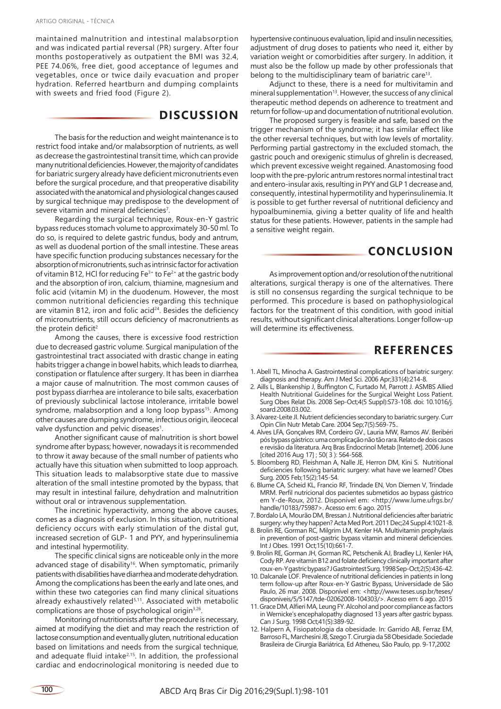maintained malnutrition and intestinal malabsorption and was indicated partial reversal (PR) surgery. After four months postoperatively as outpatient the BMI was 32.4, PEE 74.06%, free diet, good acceptance of legumes and vegetables, once or twice daily evacuation and proper hydration. Referred heartburn and dumping complaints with sweets and fried food (Figure 2).

#### **DISCUSSION**

The basis for the reduction and weight maintenance is to restrict food intake and/or malabsorption of nutrients, as well as decrease the gastrointestinal transit time, which can provide many nutritional deficiencies. However, the majority of candidates for bariatric surgery already have deficient micronutrients even before the surgical procedure, and that preoperative disability associated with the anatomical and physiological changes caused by surgical technique may predispose to the development of severe vitamin and mineral deficiencies<sup>7</sup>.

Regarding the surgical technique, Roux-en-Y gastric bypass reduces stomach volume to approximately 30-50 ml. To do so, is required to delete gastric fundus, body and antrum, as well as duodenal portion of the small intestine. These areas have specific function producing substances necessary for the absorption of micronutrients, such as intrinsic factor for activation of vitamin B12, HCl for reducing Fe<sup>3+</sup> to Fe<sup>2+</sup> at the gastric body and the absorption of iron, calcium, thiamine, magnesium and folic acid (vitamin M) in the duodenum. However, the most common nutritional deficiencies regarding this technique are vitamin B12, iron and folic acid<sup>24</sup>. Besides the deficiency of micronutrients, still occurs deficiency of macronutrients as the protein deficit $^2$ 

Among the causes, there is excessive food restriction due to decreased gastric volume. Surgical manipulation of the gastrointestinal tract associated with drastic change in eating habits trigger a change in bowel habits, which leads to diarrhea, constipation or flatulence after surgery. It has been in diarrhea a major cause of malnutrition. The most common causes of post bypass diarrhea are intolerance to bile salts, exacerbation of previously subclinical lactose intolerance, irritable bowel syndrome, malabsorption and a long loop bypass<sup>15</sup>. Among other causes are dumping syndrome, infectious origin, ileocecal valve dysfunction and pelvic diseases<sup>1</sup>.

Another significant cause of malnutrition is short bowel syndrome after bypass; however, nowadays it is recommended to throw it away because of the small number of patients who actually have this situation when submitted to loop approach. This situation leads to malabsorptive state due to massive alteration of the small intestine promoted by the bypass, that may result in intestinal failure, dehydration and malnutrition without oral or intravenous supplementation.

The incretinic hyperactivity, among the above causes, comes as a diagnosis of exclusion. In this situation, nutritional deficiency occurs with early stimulation of the distal gut, increased secretion of GLP- 1 and PYY, and hyperinsulinemia and intestinal hypermotility.

The specific clinical signs are noticeable only in the more advanced stage of disability<sup>16</sup>. When symptomatic, primarily patients with disabilities have diarrhea and moderate dehydration. Among the complications has been the early and late ones, and within these two categories can find many clinical situations already exhaustively related<sup>5,11</sup>. Associated with metabolic complications are those of psychological origin<sup>3,26</sup>.

Monitoring of nutritionists after the procedure is necessary, aimed at modifying the diet and may reach the restriction of lactose consumption and eventually gluten, nutritional education based on limitations and needs from the surgical technique, and adequate fluid intake<sup>2,15</sup>. In addition, the professional cardiac and endocrinological monitoring is needed due to

hypertensive continuous evaluation, lipid and insulin necessities, adjustment of drug doses to patients who need it, either by variation weight or comorbidities after surgery. In addition, it must also be the follow up made by other professionals that belong to the multidisciplinary team of bariatric care<sup>13</sup>.

Adjunct to these, there is a need for multivitamin and mineral supplementation<sup>13</sup>. However, the success of any clinical therapeutic method depends on adherence to treatment and return for follow-up and documentation of nutritional evolution.

The proposed surgery is feasible and safe, based on the trigger mechanism of the syndrome; it has similar effect like the other reversal techniques, but with low levels of mortality. Performing partial gastrectomy in the excluded stomach, the gastric pouch and orexigenic stimulus of ghrelin is decreased, which prevent excessive weight regained. Anastomosing food loop with the pre-pyloric antrum restores normal intestinal tract and entero-insular axis, resulting in PYY and GLP 1 decrease and, consequently, intestinal hypermotility and hyperinsulinemia. It is possible to get further reversal of nutritional deficiency and hypoalbuminemia, giving a better quality of life and health status for these patients. However, patients in the sample had a sensitive weight regain.

#### **CONCLUSION**

As improvement option and/or resolution of the nutritional alterations, surgical therapy is one of the alternatives. There is still no consensus regarding the surgical technique to be performed. This procedure is based on pathophysiological factors for the treatment of this condition, with good initial results, without significant clinical alterations. Longer follow-up will determine its effectiveness.

#### **REFERENCES**

- 1. Abell TL, Minocha A. Gastrointestinal complications of bariatric surgery: diagnosis and therapy. Am J Med Sci. 2006 Apr;331(4):214-8.
- 2. Aills L, Blankenship J, Buffington C, Furtado M, Parrott J. ASMBS Allied Health Nutritional Guidelines for the Surgical Weight Loss Patient. Surg Obes Relat Dis. 2008 Sep-Oct;4(5 Suppl):S73-108. doi: 10.1016/j. soard.2008.03.002.
- 3. Alvarez-Leite JI. Nutrient deficiencies secondary to bariatric surgery. Curr Opin Clin Nutr Metab Care. 2004 Sep;7(5):569-75..
- 4. Alves LFA, Gonçalves RM, Cordeiro GV., Lauria MW, Ramos AV. Beribéri pós bypass gástrico: uma complicação não tão rara. Relato de dois casos e revisão da literatura. Arq Bras Endocrinol Metab [Internet]. 2006 June [cited 2016 Aug 17] ; 50( 3 ): 564-568.
- 5. Bloomberg RD, Fleishman A, Nalle JE, Herron DM, Kini S. Nutritional deficiencies following bariatric surgery: what have we learned? Obes Surg. 2005 Feb;15(2):145-54.
- 6. Blume CA, Scheid KL, Francio RF, Trindade EN, Von Diemen V, Trindade MRM. Perfil nutricional dos pacientes submetidos ao bypass gástrico em Y-de-Roux, 2012. Disponível em: <http://www.lume.ufrgs.br/ handle/10183/75987>. Acesso em: 6 ago. 2015
- 7. Bordalo LA, Mourão DM, Bressan J. Nutritional deficiencies after bariatric surgery: why they happen? Acta Med Port. 2011 Dec;24 Suppl 4:1021-8.
- 8. Brolin RE, Gorman RC, Milgrim LM, Kenler HA. Multivitamin prophylaxis in prevention of post-gastric bypass vitamin and mineral deficiencies. Int J Obes. 1991 Oct;15(10):661-7.
- 9. Brolin RE, Gorman JH, Gorman RC, Petschenik AJ, Bradley LJ, Kenler HA, Cody RP. Are vitamin B12 and folate deficiency clinically important after roux-en-Y gastric bypass? J Gastrointest Surg. 1998 Sep-Oct;2(5):436-42.
- 10. Dalcanale LOF. Prevalence of nutritional deficiencies in patients in long term follow-up after Roux-en-Y Gastric Bypass, Universidade de São Paulo, 26 mar. 2008. Disponível em: <http://www.teses.usp.br/teses/ disponiveis/5/5147/tde-02062008-104303/>. Acesso em: 6 ago. 2015
- 11. Grace DM, Alfieri MA, Leung FY. Alcohol and poor compliance as factors in Wernicke's encephalopathy diagnosed 13 years after gastric bypass. Can J Surg. 1998 Oct;41(5):389-92.
- 12. Halpern A, Fisiopatologia da obesidade. In: Garrido AB, Ferraz EM, Barroso FL, Marchesini JB, Szego T. Cirurgia da 58 Obesidade. Sociedade Brasileira de Cirurgia Bariátrica, Ed Atheneu, São Paulo, pp. 9-17,2002